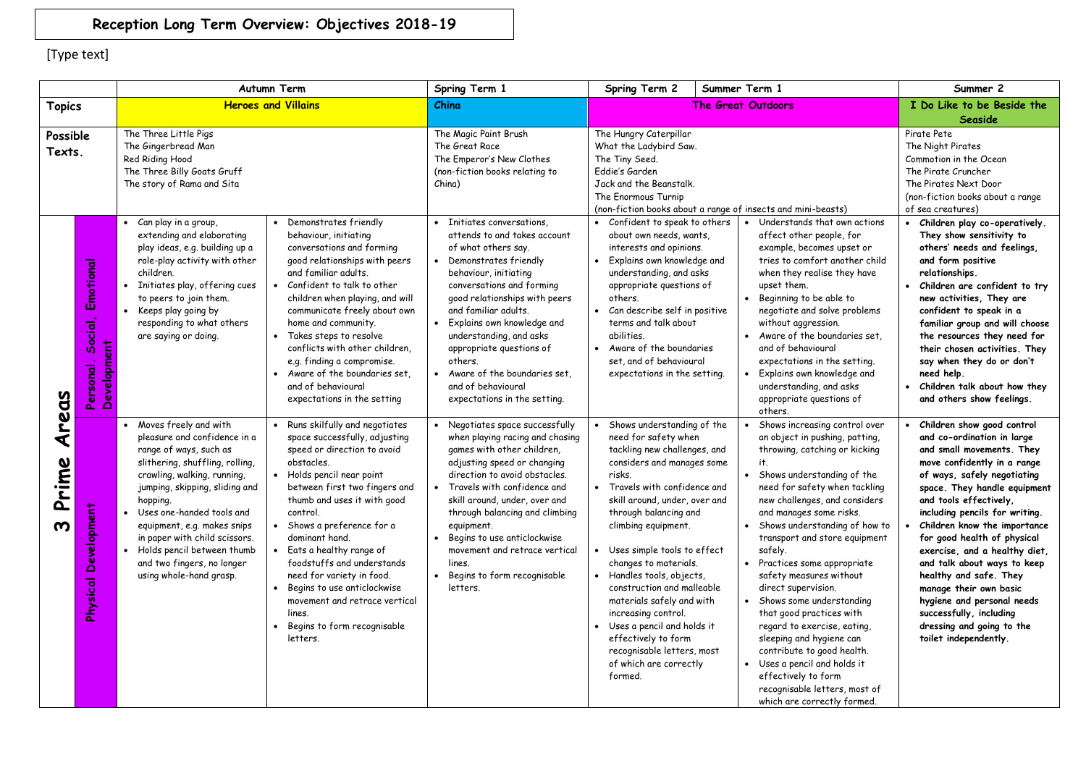## **Reception Long Term Overview: Objectives 2018-19**

|                    |                                                  | <b>Autumn Term</b>                                                                                                                                                                                                                                                                                                                                                                        |                                                                                                                                                                                                                                                                                                                                                                                                                                                                                   | Spring Term 1                                                                                                                                                                                                                                                                                                                                                                                                 | Spring Term 2                                                                                                                                                                                                                                                                                                                                                                                                                                                                                                                                 | Summer Term 1                                                                                                                                                                                                                                                                                                                                                                                                                                                                                                                                                                                                                                                         | Summer 2                                                                                                                                                                                                                                                                                                                                                                                                                                                                                                                                          |
|--------------------|--------------------------------------------------|-------------------------------------------------------------------------------------------------------------------------------------------------------------------------------------------------------------------------------------------------------------------------------------------------------------------------------------------------------------------------------------------|-----------------------------------------------------------------------------------------------------------------------------------------------------------------------------------------------------------------------------------------------------------------------------------------------------------------------------------------------------------------------------------------------------------------------------------------------------------------------------------|---------------------------------------------------------------------------------------------------------------------------------------------------------------------------------------------------------------------------------------------------------------------------------------------------------------------------------------------------------------------------------------------------------------|-----------------------------------------------------------------------------------------------------------------------------------------------------------------------------------------------------------------------------------------------------------------------------------------------------------------------------------------------------------------------------------------------------------------------------------------------------------------------------------------------------------------------------------------------|-----------------------------------------------------------------------------------------------------------------------------------------------------------------------------------------------------------------------------------------------------------------------------------------------------------------------------------------------------------------------------------------------------------------------------------------------------------------------------------------------------------------------------------------------------------------------------------------------------------------------------------------------------------------------|---------------------------------------------------------------------------------------------------------------------------------------------------------------------------------------------------------------------------------------------------------------------------------------------------------------------------------------------------------------------------------------------------------------------------------------------------------------------------------------------------------------------------------------------------|
| <b>Topics</b>      |                                                  | <b>Heroes and Villains</b>                                                                                                                                                                                                                                                                                                                                                                |                                                                                                                                                                                                                                                                                                                                                                                                                                                                                   | China                                                                                                                                                                                                                                                                                                                                                                                                         | The Great Outdoors                                                                                                                                                                                                                                                                                                                                                                                                                                                                                                                            |                                                                                                                                                                                                                                                                                                                                                                                                                                                                                                                                                                                                                                                                       | I Do Like to be Beside the                                                                                                                                                                                                                                                                                                                                                                                                                                                                                                                        |
|                    |                                                  |                                                                                                                                                                                                                                                                                                                                                                                           |                                                                                                                                                                                                                                                                                                                                                                                                                                                                                   |                                                                                                                                                                                                                                                                                                                                                                                                               |                                                                                                                                                                                                                                                                                                                                                                                                                                                                                                                                               |                                                                                                                                                                                                                                                                                                                                                                                                                                                                                                                                                                                                                                                                       | Seaside                                                                                                                                                                                                                                                                                                                                                                                                                                                                                                                                           |
| Possible<br>Texts. |                                                  | The Three Little Pigs<br>The Gingerbread Man<br>Red Riding Hood<br>The Three Billy Goats Gruff<br>The story of Rama and Sita                                                                                                                                                                                                                                                              |                                                                                                                                                                                                                                                                                                                                                                                                                                                                                   | The Magic Paint Brush<br>The Great Race<br>The Emperor's New Clothes<br>(non-fiction books relating to<br>China)                                                                                                                                                                                                                                                                                              | The Hungry Caterpillar<br>What the Ladybird Saw.<br>The Tiny Seed.<br>Eddie's Garden<br>Jack and the Beanstalk.<br>The Enormous Turnip<br>(non-fiction books about a range of insects and mini-beasts)                                                                                                                                                                                                                                                                                                                                        |                                                                                                                                                                                                                                                                                                                                                                                                                                                                                                                                                                                                                                                                       | Pirate Pete<br>The Night Pirates<br>Commotion in the Ocean<br>The Pirate Cruncher<br>The Pirates Next Door<br>(non-fiction books about a range<br>of sea creatures)                                                                                                                                                                                                                                                                                                                                                                               |
| reas               | Emotional<br>Social,<br>Development<br>Personal. | Can play in a group,<br>extending and elaborating<br>play ideas, e.g. building up a<br>role-play activity with other<br>children.<br>• Initiates play, offering cues<br>to peers to join them.<br>Keeps play going by<br>responding to what others<br>are saying or doing.                                                                                                                | Demonstrates friendly<br>behaviour, initiating<br>conversations and forming<br>good relationships with peers<br>and familiar adults.<br>• Confident to talk to other<br>children when playing, and will<br>communicate freely about own<br>home and community.<br>• Takes steps to resolve<br>conflicts with other children.<br>e.g. finding a compromise.<br>Aware of the boundaries set.<br>and of behavioural<br>expectations in the setting                                   | Initiates conversations.<br>attends to and takes account<br>of what others say.<br>Demonstrates friendly<br>behaviour, initiating<br>conversations and forming<br>good relationships with peers<br>and familiar adults.<br>Explains own knowledge and<br>understanding, and asks<br>appropriate questions of<br>others.<br>Aware of the boundaries set,<br>and of behavioural<br>expectations in the setting. | • Confident to speak to others<br>about own needs, wants,<br>interests and opinions.<br>• Explains own knowledge and<br>understanding, and asks<br>appropriate questions of<br>others.<br>• Can describe self in positive<br>terms and talk about<br>abilities.<br>• Aware of the boundaries<br>set, and of behavioural<br>expectations in the setting.                                                                                                                                                                                       | Understands that own actions<br>affect other people, for<br>example, becomes upset or<br>tries to comfort another child<br>when they realise they have<br>upset them.<br>Beginning to be able to<br>negotiate and solve problems<br>without aggression.<br>Aware of the boundaries set.<br>and of behavioural<br>expectations in the setting.<br>Explains own knowledge and<br>understanding, and asks<br>appropriate questions of<br>others.                                                                                                                                                                                                                         | Children play co-operatively.<br>$\bullet$<br>They show sensitivity to<br>others' needs and feelings,<br>and form positive<br>relationships.<br>Children are confident to try<br>new activities, They are<br>confident to speak in a<br>familiar group and will choose<br>the resources they need for<br>their chosen activities. They<br>say when they do or don't<br>need help.<br>Children talk about how they<br>and others show feelings.                                                                                                    |
| ₹<br>Prime<br>ო    | Development<br>Physical                          | • Moves freely and with<br>pleasure and confidence in a<br>range of ways, such as<br>slithering, shuffling, rolling,<br>crawling, walking, running,<br>jumping, skipping, sliding and<br>hopping.<br>• Uses one-handed tools and<br>equipment, e.g. makes snips<br>in paper with child scissors.<br>• Holds pencil between thumb<br>and two fingers, no longer<br>using whole-hand grasp. | • Runs skilfully and negotiates<br>space successfully, adjusting<br>speed or direction to avoid<br>obstacles.<br>• Holds pencil near point<br>between first two fingers and<br>thumb and uses it with good<br>control.<br>Shows a preference for a<br>dominant hand.<br>• Eats a healthy range of<br>foodstuffs and understands<br>need for variety in food.<br>Begins to use anticlockwise<br>movement and retrace vertical<br>lines.<br>Begins to form recognisable<br>letters. | • Negotiates space successfully<br>when playing racing and chasing<br>games with other children,<br>adjusting speed or changing<br>direction to avoid obstacles.<br>Travels with confidence and<br>skill around, under, over and<br>through balancing and climbing<br>equipment.<br>Begins to use anticlockwise<br>movement and retrace vertical<br>lines.<br>Begins to form recognisable<br>letters.         | • Shows understanding of the<br>need for safety when<br>tackling new challenges, and<br>considers and manages some<br>risks.<br>Travels with confidence and<br>skill around, under, over and<br>through balancing and<br>climbing equipment.<br>• Uses simple tools to effect<br>changes to materials.<br>• Handles tools, objects,<br>construction and malleable<br>materials safely and with<br>increasing control.<br>Uses a pencil and holds it<br>effectively to form<br>recognisable letters, most<br>of which are correctly<br>formed. | Shows increasing control over<br>an object in pushing, patting,<br>throwing, catching or kicking<br>it.<br>Shows understanding of the<br>need for safety when tackling<br>new challenges, and considers<br>and manages some risks.<br>Shows understanding of how to<br>transport and store equipment<br>safely.<br>Practices some appropriate<br>safety measures without<br>direct supervision.<br>Shows some understanding<br>that good practices with<br>regard to exercise, eating,<br>sleeping and hygiene can<br>contribute to good health.<br>Uses a pencil and holds it<br>effectively to form<br>recognisable letters, most of<br>which are correctly formed. | Children show good control<br>and co-ordination in large<br>and small movements. They<br>move confidently in a range<br>of ways, safely negotiating<br>space. They handle equipment<br>and tools effectively,<br>including pencils for writing.<br>Children know the importance<br>for good health of physical<br>exercise, and a healthy diet,<br>and talk about ways to keep<br>healthy and safe. They<br>manage their own basic<br>hygiene and personal needs<br>successfully, including<br>dressing and going to the<br>toilet independently. |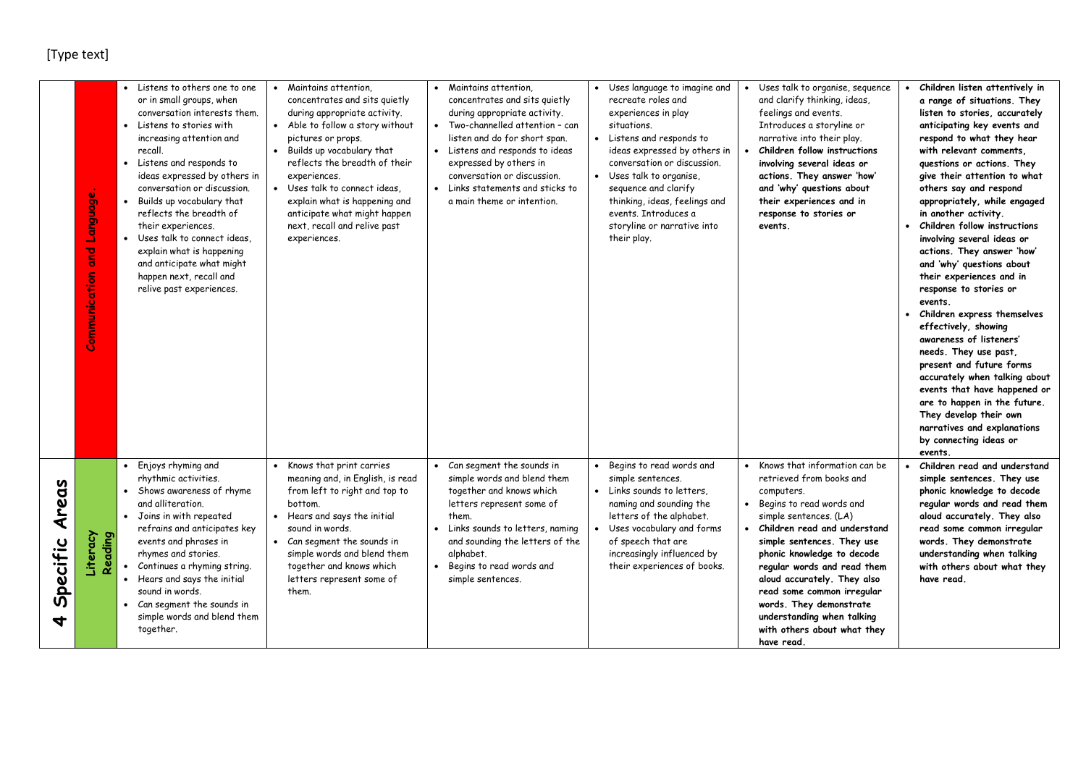|                                           | <b>Panguage</b><br>g<br>Communication | Listens to others one to one<br>or in small groups, when<br>conversation interests them.<br>• Listens to stories with<br>increasing attention and<br>recall.<br>• Listens and responds to<br>ideas expressed by others in<br>conversation or discussion.<br>Builds up vocabulary that<br>reflects the breadth of<br>their experiences.<br>Uses talk to connect ideas.<br>explain what is happening<br>and anticipate what might<br>happen next, recall and<br>relive past experiences. | Maintains attention.<br>concentrates and sits quietly<br>during appropriate activity.<br>• Able to follow a story without<br>pictures or props.<br>Builds up vocabulary that<br>reflects the breadth of their<br>experiences.<br>• Uses talk to connect ideas,<br>explain what is happening and<br>anticipate what might happen<br>next, recall and relive past<br>experiences. | Maintains attention.<br>concentrates and sits quietly<br>during appropriate activity.<br>• Two-channelled attention - can<br>listen and do for short span.<br>• Listens and responds to ideas<br>expressed by others in<br>conversation or discussion.<br>• Links statements and sticks to<br>a main theme or intention. | Uses language to imagine and<br>$\bullet$<br>recreate roles and<br>experiences in play<br>situations.<br>• Listens and responds to<br>ideas expressed by others in<br>conversation or discussion.<br>• Uses talk to organise,<br>sequence and clarify<br>thinking, ideas, feelings and<br>events. Introduces a<br>storyline or narrative into<br>their play. | Uses talk to organise, sequence<br>and clarify thinking, ideas,<br>feelings and events.<br>Introduces a storyline or<br>narrative into their play.<br>Children follow instructions<br>involving several ideas or<br>actions. They answer 'how'<br>and 'why' questions about<br>their experiences and in<br>response to stories or<br>events.                                                                                | Children listen attentively in<br>a range of situations. They<br>listen to stories, accurately<br>anticipating key events and<br>respond to what they hear<br>with relevant comments.<br>questions or actions. They<br>give their attention to what<br>others say and respond<br>appropriately, while engaged<br>in another activity.<br>Children follow instructions<br>$\bullet$<br>involving several ideas or<br>actions. They answer 'how'<br>and 'why' questions about<br>their experiences and in<br>response to stories or<br>events.<br>Children express themselves<br>$\bullet$<br>effectively, showing<br>awareness of listeners'<br>needs. They use past,<br>present and future forms<br>accurately when talking about<br>events that have happened or<br>are to happen in the future.<br>They develop their own<br>narratives and explanations<br>by connecting ideas or<br>events. |
|-------------------------------------------|---------------------------------------|----------------------------------------------------------------------------------------------------------------------------------------------------------------------------------------------------------------------------------------------------------------------------------------------------------------------------------------------------------------------------------------------------------------------------------------------------------------------------------------|---------------------------------------------------------------------------------------------------------------------------------------------------------------------------------------------------------------------------------------------------------------------------------------------------------------------------------------------------------------------------------|--------------------------------------------------------------------------------------------------------------------------------------------------------------------------------------------------------------------------------------------------------------------------------------------------------------------------|--------------------------------------------------------------------------------------------------------------------------------------------------------------------------------------------------------------------------------------------------------------------------------------------------------------------------------------------------------------|-----------------------------------------------------------------------------------------------------------------------------------------------------------------------------------------------------------------------------------------------------------------------------------------------------------------------------------------------------------------------------------------------------------------------------|-------------------------------------------------------------------------------------------------------------------------------------------------------------------------------------------------------------------------------------------------------------------------------------------------------------------------------------------------------------------------------------------------------------------------------------------------------------------------------------------------------------------------------------------------------------------------------------------------------------------------------------------------------------------------------------------------------------------------------------------------------------------------------------------------------------------------------------------------------------------------------------------------|
| Areas<br>Specific<br>$\blacktriangleleft$ | Literacy<br>Reading                   | Enjoys rhyming and<br>rhythmic activities.<br>• Shows awareness of rhyme<br>and alliteration.<br>Joins in with repeated<br>refrains and anticipates key<br>events and phrases in<br>rhymes and stories.<br>Continues a rhyming string.<br>Hears and says the initial<br>$\bullet$<br>sound in words.<br>Can segment the sounds in<br>simple words and blend them<br>together.                                                                                                          | Knows that print carries<br>meaning and, in English, is read<br>from left to right and top to<br>bottom.<br>• Hears and says the initial<br>sound in words.<br>• Can segment the sounds in<br>simple words and blend them<br>together and knows which<br>letters represent some of<br>them.                                                                                     | Can segment the sounds in<br>simple words and blend them<br>together and knows which<br>letters represent some of<br>them.<br>Links sounds to letters, naming<br>and sounding the letters of the<br>alphabet.<br>Begins to read words and<br>simple sentences.                                                           | Begins to read words and<br>simple sentences.<br>• Links sounds to letters.<br>naming and sounding the<br>letters of the alphabet.<br>Uses vocabulary and forms<br>of speech that are<br>increasingly influenced by<br>their experiences of books.                                                                                                           | Knows that information can be<br>retrieved from books and<br>computers.<br>Begins to read words and<br>simple sentences. (LA)<br>Children read and understand<br>simple sentences. They use<br>phonic knowledge to decode<br>regular words and read them<br>aloud accurately. They also<br>read some common irregular<br>words. They demonstrate<br>understanding when talking<br>with others about what they<br>have read. | Children read and understand<br>simple sentences. They use<br>phonic knowledge to decode<br>regular words and read them<br>aloud accurately. They also<br>read some common irregular<br>words. They demonstrate<br>understanding when talking<br>with others about what they<br>have read.                                                                                                                                                                                                                                                                                                                                                                                                                                                                                                                                                                                                      |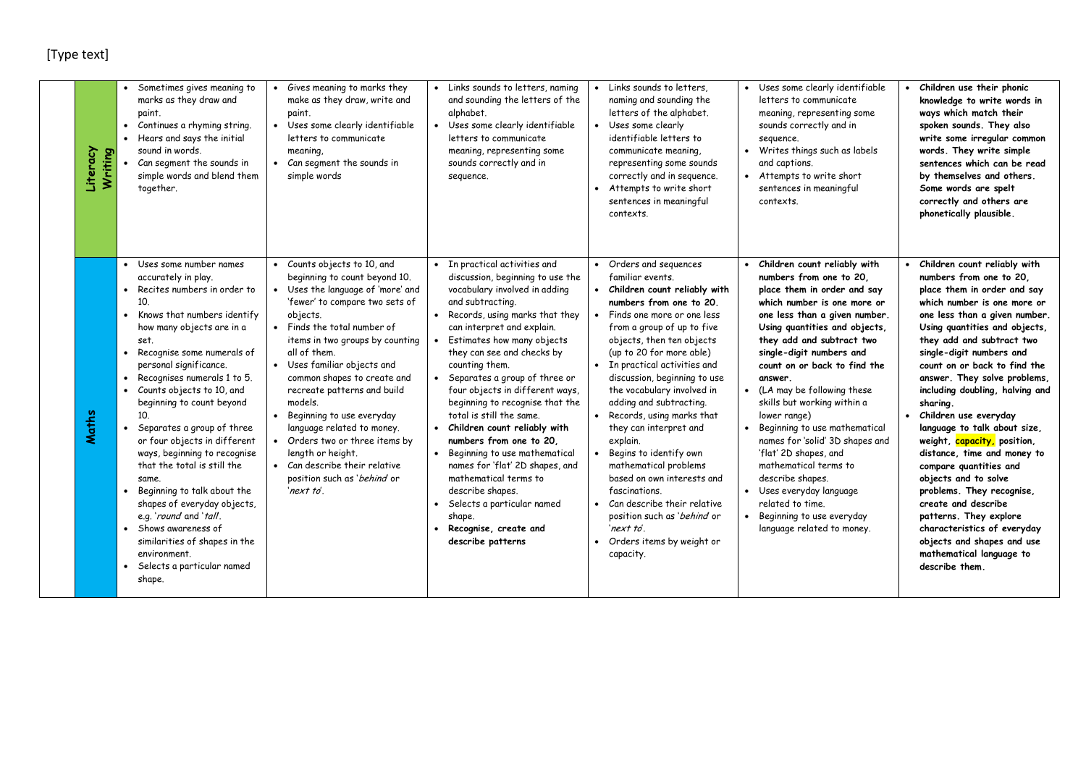| Literacy<br>Writing | Sometimes gives meaning to<br>marks as they draw and<br>paint.<br>Continues a rhyming string.<br>Hears and says the initial<br>$\bullet$<br>sound in words.<br>Can segment the sounds in<br>simple words and blend them<br>together.                                                                                                                                                                                                                                                                                                                                                                                                                                                                                 | Gives meaning to marks they<br>make as they draw, write and<br>paint.<br>• Uses some clearly identifiable<br>letters to communicate<br>meaning,<br>• Can segment the sounds in<br>simple words                                                                                                                                                                                                                                                                                                                                        | • Links sounds to letters, naming<br>and sounding the letters of the<br>alphabet.<br>Uses some clearly identifiable<br>$\bullet$<br>letters to communicate<br>meaning, representing some<br>sounds correctly and in<br>sequence.                                                                                                                                                                                                                                                                                                                                                                                                                                                                        | Links sounds to letters.<br>naming and sounding the<br>letters of the alphabet.<br>• Uses some clearly<br>identifiable letters to<br>communicate meaning,<br>representing some sounds<br>correctly and in sequence.<br>Attempts to write short<br>$\bullet$<br>sentences in meaningful<br>contexts.                                                                                                                                                                                                                                                                                                                                                     | Uses some clearly identifiable<br>letters to communicate<br>meaning, representing some<br>sounds correctly and in<br>sequence.<br>Writes things such as labels<br>and captions.<br>• Attempts to write short<br>sentences in meaningful<br>contexts.                                                                                                                                                                                                                                                                                                                                                                          | Children use their phonic<br>knowledge to write words in<br>ways which match their<br>spoken sounds. They also<br>write some irregular common<br>words. They write simple<br>sentences which can be read<br>by themselves and others.<br>Some words are spelt<br>correctly and others are<br>phonetically plausible.                                                                                                                                                                                                                                                                                                                                                                                                              |
|---------------------|----------------------------------------------------------------------------------------------------------------------------------------------------------------------------------------------------------------------------------------------------------------------------------------------------------------------------------------------------------------------------------------------------------------------------------------------------------------------------------------------------------------------------------------------------------------------------------------------------------------------------------------------------------------------------------------------------------------------|---------------------------------------------------------------------------------------------------------------------------------------------------------------------------------------------------------------------------------------------------------------------------------------------------------------------------------------------------------------------------------------------------------------------------------------------------------------------------------------------------------------------------------------|---------------------------------------------------------------------------------------------------------------------------------------------------------------------------------------------------------------------------------------------------------------------------------------------------------------------------------------------------------------------------------------------------------------------------------------------------------------------------------------------------------------------------------------------------------------------------------------------------------------------------------------------------------------------------------------------------------|---------------------------------------------------------------------------------------------------------------------------------------------------------------------------------------------------------------------------------------------------------------------------------------------------------------------------------------------------------------------------------------------------------------------------------------------------------------------------------------------------------------------------------------------------------------------------------------------------------------------------------------------------------|-------------------------------------------------------------------------------------------------------------------------------------------------------------------------------------------------------------------------------------------------------------------------------------------------------------------------------------------------------------------------------------------------------------------------------------------------------------------------------------------------------------------------------------------------------------------------------------------------------------------------------|-----------------------------------------------------------------------------------------------------------------------------------------------------------------------------------------------------------------------------------------------------------------------------------------------------------------------------------------------------------------------------------------------------------------------------------------------------------------------------------------------------------------------------------------------------------------------------------------------------------------------------------------------------------------------------------------------------------------------------------|
| Maths               | • Uses some number names<br>accurately in play.<br>• Recites numbers in order to<br>10.<br>Knows that numbers identify<br>$\bullet$<br>how many objects are in a<br>set.<br>Recognise some numerals of<br>$\bullet$<br>personal significance.<br>Recognises numerals 1 to 5.<br>$\bullet$<br>Counts objects to 10, and<br>beginning to count beyond<br>10 <sup>10</sup><br>Separates a group of three<br>or four objects in different<br>ways, beginning to recognise<br>that the total is still the<br>same.<br>Beginning to talk about the<br>shapes of everyday objects,<br>e.g. 'round and 'tall.<br>Shows awareness of<br>similarities of shapes in the<br>environment.<br>Selects a particular named<br>shape. | • Counts objects to 10, and<br>beginning to count beyond 10.<br>Uses the language of 'more' and<br>'fewer' to compare two sets of<br>objects.<br>Finds the total number of<br>items in two groups by counting<br>all of them.<br>• Uses familiar objects and<br>common shapes to create and<br>recreate patterns and build<br>models.<br>Beginning to use everyday<br>language related to money.<br>• Orders two or three items by<br>length or height.<br>• Can describe their relative<br>position such as 'behind or<br>'next to'. | • In practical activities and<br>discussion, beginning to use the<br>vocabulary involved in adding<br>and subtracting.<br>• Records, using marks that they<br>can interpret and explain.<br>Estimates how many objects<br>they can see and checks by<br>counting them.<br>Separates a group of three or<br>four objects in different ways,<br>beginning to recognise that the<br>total is still the same.<br>• Children count reliably with<br>numbers from one to 20.<br>$\bullet$<br>Beginning to use mathematical<br>names for 'flat' 2D shapes, and<br>mathematical terms to<br>describe shapes.<br>Selects a particular named<br>$\bullet$<br>shape.<br>Recognise, create and<br>describe patterns | • Orders and sequences<br>familiar events.<br>• Children count reliably with<br>numbers from one to 20.<br>• Finds one more or one less<br>from a group of up to five<br>objects, then ten objects<br>(up to 20 for more able)<br>• In practical activities and<br>discussion, beginning to use<br>the vocabulary involved in<br>adding and subtracting.<br>• Records, using marks that<br>they can interpret and<br>explain.<br>Begins to identify own<br>mathematical problems<br>based on own interests and<br>fascinations.<br>• Can describe their relative<br>position such as 'behind or<br>'next to'.<br>Orders items by weight or<br>capacity. | Children count reliably with<br>numbers from one to 20.<br>place them in order and say<br>which number is one more or<br>one less than a given number.<br>Using quantities and objects,<br>they add and subtract two<br>single-digit numbers and<br>count on or back to find the<br>answer.<br>(LA may be following these<br>skills but working within a<br>lower range)<br>Beginning to use mathematical<br>names for 'solid' 3D shapes and<br>'flat' 2D shapes, and<br>mathematical terms to<br>describe shapes.<br>• Uses everyday language<br>related to time.<br>Beginning to use everyday<br>language related to money. | Children count reliably with<br>numbers from one to 20,<br>place them in order and say<br>which number is one more or<br>one less than a given number.<br>Using quantities and objects,<br>they add and subtract two<br>single-digit numbers and<br>count on or back to find the<br>answer. They solve problems,<br>including doubling, halving and<br>sharing.<br>Children use everyday<br>language to talk about size,<br>weight, capacity, position,<br>distance, time and money to<br>compare quantities and<br>objects and to solve<br>problems. They recognise,<br>create and describe<br>patterns. They explore<br>characteristics of everyday<br>objects and shapes and use<br>mathematical language to<br>describe them. |